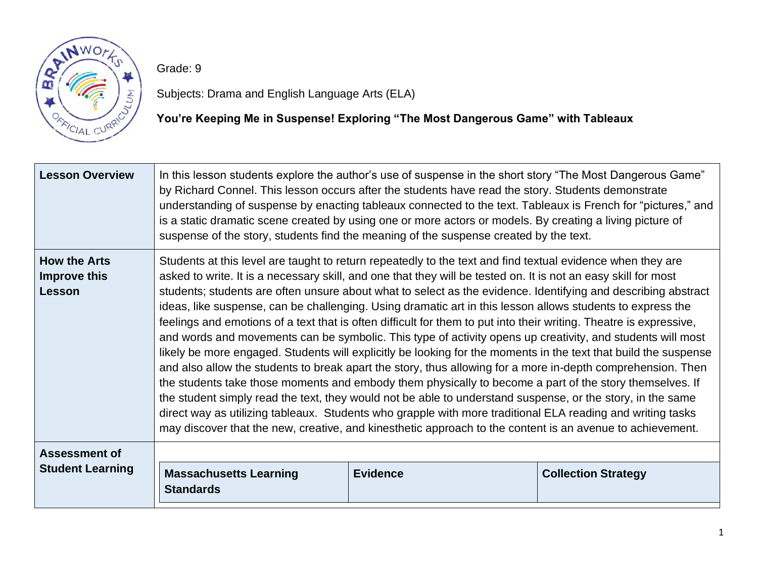

Grade: 9

Subjects: Drama and English Language Arts (ELA)

## **You're Keeping Me in Suspense! Exploring "The Most Dangerous Game" with Tableaux**

| <b>Student Learning</b>                              | <b>Massachusetts Learning</b><br><b>Standards</b>                                                                                                                                                                                                                                                                                                                                                                                                                                                                                                                                                                                                                                                                                                                                                                                                                                                                                                                                                                                                                                                                                                                                                                                                                                                                                                                                     | <b>Evidence</b> | <b>Collection Strategy</b> |  |
|------------------------------------------------------|---------------------------------------------------------------------------------------------------------------------------------------------------------------------------------------------------------------------------------------------------------------------------------------------------------------------------------------------------------------------------------------------------------------------------------------------------------------------------------------------------------------------------------------------------------------------------------------------------------------------------------------------------------------------------------------------------------------------------------------------------------------------------------------------------------------------------------------------------------------------------------------------------------------------------------------------------------------------------------------------------------------------------------------------------------------------------------------------------------------------------------------------------------------------------------------------------------------------------------------------------------------------------------------------------------------------------------------------------------------------------------------|-----------------|----------------------------|--|
| <b>Assessment of</b>                                 |                                                                                                                                                                                                                                                                                                                                                                                                                                                                                                                                                                                                                                                                                                                                                                                                                                                                                                                                                                                                                                                                                                                                                                                                                                                                                                                                                                                       |                 |                            |  |
| <b>How the Arts</b><br><b>Improve this</b><br>Lesson | Students at this level are taught to return repeatedly to the text and find textual evidence when they are<br>asked to write. It is a necessary skill, and one that they will be tested on. It is not an easy skill for most<br>students; students are often unsure about what to select as the evidence. Identifying and describing abstract<br>ideas, like suspense, can be challenging. Using dramatic art in this lesson allows students to express the<br>feelings and emotions of a text that is often difficult for them to put into their writing. Theatre is expressive,<br>and words and movements can be symbolic. This type of activity opens up creativity, and students will most<br>likely be more engaged. Students will explicitly be looking for the moments in the text that build the suspense<br>and also allow the students to break apart the story, thus allowing for a more in-depth comprehension. Then<br>the students take those moments and embody them physically to become a part of the story themselves. If<br>the student simply read the text, they would not be able to understand suspense, or the story, in the same<br>direct way as utilizing tableaux. Students who grapple with more traditional ELA reading and writing tasks<br>may discover that the new, creative, and kinesthetic approach to the content is an avenue to achievement. |                 |                            |  |
| <b>Lesson Overview</b>                               | In this lesson students explore the author's use of suspense in the short story "The Most Dangerous Game"<br>by Richard Connel. This lesson occurs after the students have read the story. Students demonstrate<br>understanding of suspense by enacting tableaux connected to the text. Tableaux is French for "pictures," and<br>is a static dramatic scene created by using one or more actors or models. By creating a living picture of<br>suspense of the story, students find the meaning of the suspense created by the text.                                                                                                                                                                                                                                                                                                                                                                                                                                                                                                                                                                                                                                                                                                                                                                                                                                                 |                 |                            |  |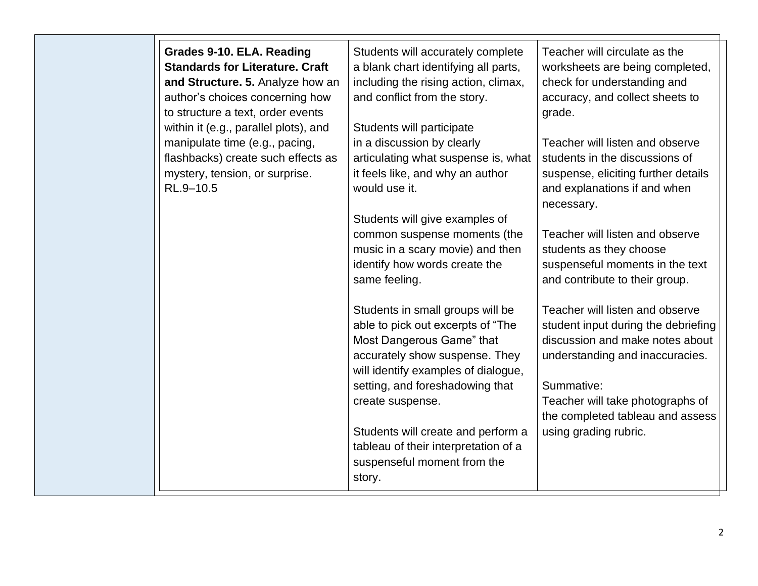| Grades 9-10. ELA. Reading<br><b>Standards for Literature. Craft</b><br>and Structure. 5. Analyze how an<br>author's choices concerning how<br>to structure a text, order events<br>within it (e.g., parallel plots), and<br>manipulate time (e.g., pacing, | Students will accurately complete<br>a blank chart identifying all parts,<br>including the rising action, climax,<br>and conflict from the story.<br>Students will participate<br>in a discussion by clearly | Teacher will circulate as the<br>worksheets are being completed,<br>check for understanding and<br>accuracy, and collect sheets to<br>grade.<br>Teacher will listen and observe |
|------------------------------------------------------------------------------------------------------------------------------------------------------------------------------------------------------------------------------------------------------------|--------------------------------------------------------------------------------------------------------------------------------------------------------------------------------------------------------------|---------------------------------------------------------------------------------------------------------------------------------------------------------------------------------|
| flashbacks) create such effects as<br>mystery, tension, or surprise.<br>RL.9-10.5                                                                                                                                                                          | articulating what suspense is, what<br>it feels like, and why an author<br>would use it.<br>Students will give examples of                                                                                   | students in the discussions of<br>suspense, eliciting further details<br>and explanations if and when<br>necessary.                                                             |
|                                                                                                                                                                                                                                                            | common suspense moments (the<br>music in a scary movie) and then<br>identify how words create the<br>same feeling.                                                                                           | Teacher will listen and observe<br>students as they choose<br>suspenseful moments in the text<br>and contribute to their group.                                                 |
|                                                                                                                                                                                                                                                            | Students in small groups will be<br>able to pick out excerpts of "The<br>Most Dangerous Game" that<br>accurately show suspense. They<br>will identify examples of dialogue,                                  | Teacher will listen and observe<br>student input during the debriefing<br>discussion and make notes about<br>understanding and inaccuracies.                                    |
|                                                                                                                                                                                                                                                            | setting, and foreshadowing that<br>create suspense.<br>Students will create and perform a<br>tableau of their interpretation of a<br>suspenseful moment from the<br>story.                                   | Summative:<br>Teacher will take photographs of<br>the completed tableau and assess<br>using grading rubric.                                                                     |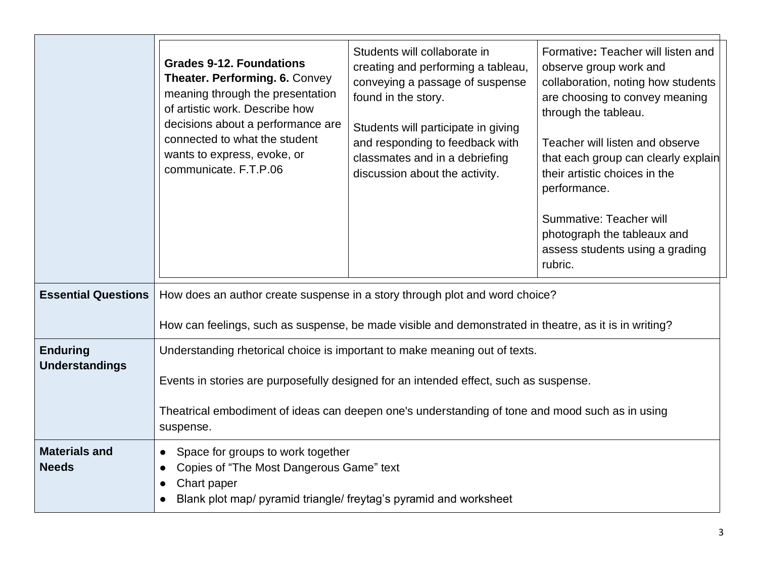|                                          | <b>Grades 9-12. Foundations</b><br>Theater. Performing. 6. Convey<br>meaning through the presentation<br>of artistic work. Describe how<br>decisions about a performance are<br>connected to what the student<br>wants to express, evoke, or<br>communicate. F.T.P.06               | Students will collaborate in<br>creating and performing a tableau,<br>conveying a passage of suspense<br>found in the story.<br>Students will participate in giving<br>and responding to feedback with<br>classmates and in a debriefing<br>discussion about the activity. | Formative: Teacher will listen and<br>observe group work and<br>collaboration, noting how students<br>are choosing to convey meaning<br>through the tableau.<br>Teacher will listen and observe<br>that each group can clearly explain<br>their artistic choices in the<br>performance.<br>Summative: Teacher will<br>photograph the tableaux and<br>assess students using a grading<br>rubric. |  |
|------------------------------------------|-------------------------------------------------------------------------------------------------------------------------------------------------------------------------------------------------------------------------------------------------------------------------------------|----------------------------------------------------------------------------------------------------------------------------------------------------------------------------------------------------------------------------------------------------------------------------|-------------------------------------------------------------------------------------------------------------------------------------------------------------------------------------------------------------------------------------------------------------------------------------------------------------------------------------------------------------------------------------------------|--|
| <b>Essential Questions</b>               | How does an author create suspense in a story through plot and word choice?<br>How can feelings, such as suspense, be made visible and demonstrated in theatre, as it is in writing?                                                                                                |                                                                                                                                                                                                                                                                            |                                                                                                                                                                                                                                                                                                                                                                                                 |  |
| <b>Enduring</b><br><b>Understandings</b> | Understanding rhetorical choice is important to make meaning out of texts.<br>Events in stories are purposefully designed for an intended effect, such as suspense.<br>Theatrical embodiment of ideas can deepen one's understanding of tone and mood such as in using<br>suspense. |                                                                                                                                                                                                                                                                            |                                                                                                                                                                                                                                                                                                                                                                                                 |  |
| <b>Materials and</b><br><b>Needs</b>     | Space for groups to work together<br>$\bullet$<br>Copies of "The Most Dangerous Game" text<br>Chart paper<br>Blank plot map/ pyramid triangle/ freytag's pyramid and worksheet                                                                                                      |                                                                                                                                                                                                                                                                            |                                                                                                                                                                                                                                                                                                                                                                                                 |  |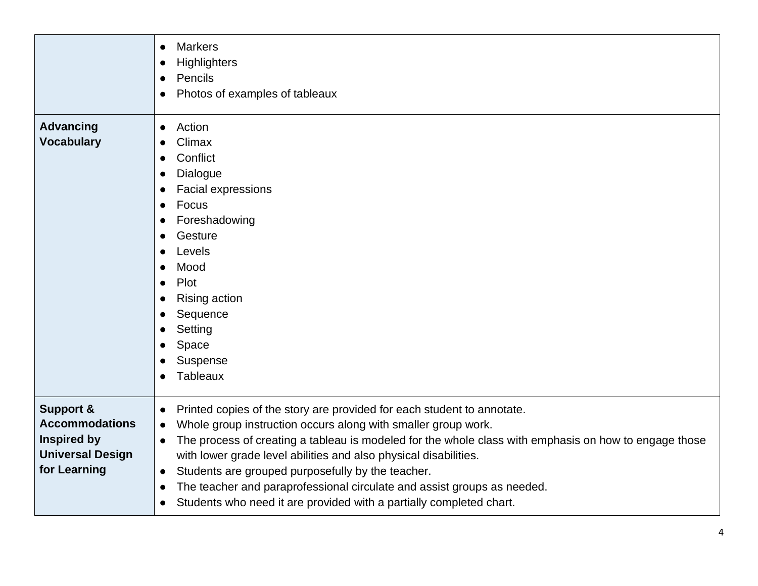|                                                                                                                | <b>Markers</b><br>$\bullet$<br><b>Highlighters</b><br>c<br>Pencils<br>$\bullet$<br>Photos of examples of tableaux                                                                                                                                                                                                                                                                                                                                                                                                                                                                                         |
|----------------------------------------------------------------------------------------------------------------|-----------------------------------------------------------------------------------------------------------------------------------------------------------------------------------------------------------------------------------------------------------------------------------------------------------------------------------------------------------------------------------------------------------------------------------------------------------------------------------------------------------------------------------------------------------------------------------------------------------|
| <b>Advancing</b><br><b>Vocabulary</b>                                                                          | Action<br>$\bullet$<br>Climax<br>Conflict<br>Dialogue<br>€<br>Facial expressions<br>c<br>Focus<br>$\bullet$<br>Foreshadowing<br>Gesture<br>Levels<br>Mood<br>Plot<br>$\bullet$<br><b>Rising action</b><br>Sequence<br>Setting<br>Space<br>Suspense<br>Tableaux                                                                                                                                                                                                                                                                                                                                            |
| <b>Support &amp;</b><br><b>Accommodations</b><br><b>Inspired by</b><br><b>Universal Design</b><br>for Learning | Printed copies of the story are provided for each student to annotate.<br>$\bullet$<br>Whole group instruction occurs along with smaller group work.<br>$\bullet$<br>The process of creating a tableau is modeled for the whole class with emphasis on how to engage those<br>$\bullet$<br>with lower grade level abilities and also physical disabilities.<br>Students are grouped purposefully by the teacher.<br>$\bullet$<br>The teacher and paraprofessional circulate and assist groups as needed.<br>$\bullet$<br>Students who need it are provided with a partially completed chart.<br>$\bullet$ |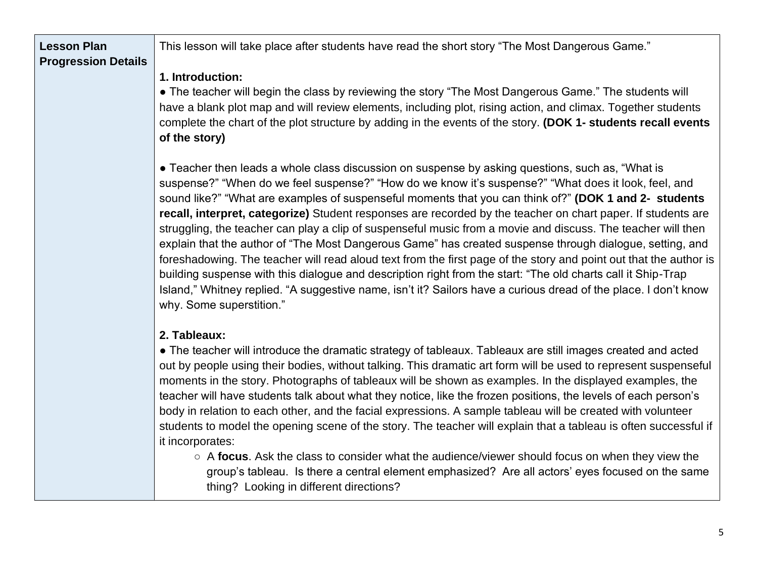| <b>Lesson Plan</b><br><b>Progression Details</b> | This lesson will take place after students have read the short story "The Most Dangerous Game."                                                                                                                                                                                                                                                                                                                                                                                                                                                                                                                                                                                                                                                                                                                                                                                                                                                                                                                                                   |
|--------------------------------------------------|---------------------------------------------------------------------------------------------------------------------------------------------------------------------------------------------------------------------------------------------------------------------------------------------------------------------------------------------------------------------------------------------------------------------------------------------------------------------------------------------------------------------------------------------------------------------------------------------------------------------------------------------------------------------------------------------------------------------------------------------------------------------------------------------------------------------------------------------------------------------------------------------------------------------------------------------------------------------------------------------------------------------------------------------------|
|                                                  | 1. Introduction:<br>• The teacher will begin the class by reviewing the story "The Most Dangerous Game." The students will<br>have a blank plot map and will review elements, including plot, rising action, and climax. Together students<br>complete the chart of the plot structure by adding in the events of the story. (DOK 1- students recall events<br>of the story)                                                                                                                                                                                                                                                                                                                                                                                                                                                                                                                                                                                                                                                                      |
|                                                  | • Teacher then leads a whole class discussion on suspense by asking questions, such as, "What is<br>suspense?" "When do we feel suspense?" "How do we know it's suspense?" "What does it look, feel, and<br>sound like?" "What are examples of suspenseful moments that you can think of?" (DOK 1 and 2- students<br>recall, interpret, categorize) Student responses are recorded by the teacher on chart paper. If students are<br>struggling, the teacher can play a clip of suspenseful music from a movie and discuss. The teacher will then<br>explain that the author of "The Most Dangerous Game" has created suspense through dialogue, setting, and<br>foreshadowing. The teacher will read aloud text from the first page of the story and point out that the author is<br>building suspense with this dialogue and description right from the start: "The old charts call it Ship-Trap<br>Island," Whitney replied. "A suggestive name, isn't it? Sailors have a curious dread of the place. I don't know<br>why. Some superstition." |
|                                                  | 2. Tableaux:<br>• The teacher will introduce the dramatic strategy of tableaux. Tableaux are still images created and acted<br>out by people using their bodies, without talking. This dramatic art form will be used to represent suspenseful<br>moments in the story. Photographs of tableaux will be shown as examples. In the displayed examples, the<br>teacher will have students talk about what they notice, like the frozen positions, the levels of each person's<br>body in relation to each other, and the facial expressions. A sample tableau will be created with volunteer                                                                                                                                                                                                                                                                                                                                                                                                                                                        |

- students to model the opening scene of the story. The teacher will explain that a tableau is often successful if it incorporates: ○ A **focus**. Ask the class to consider what the audience/viewer should focus on when they view the
	- group's tableau. Is there a central element emphasized? Are all actors' eyes focused on the same thing? Looking in different directions?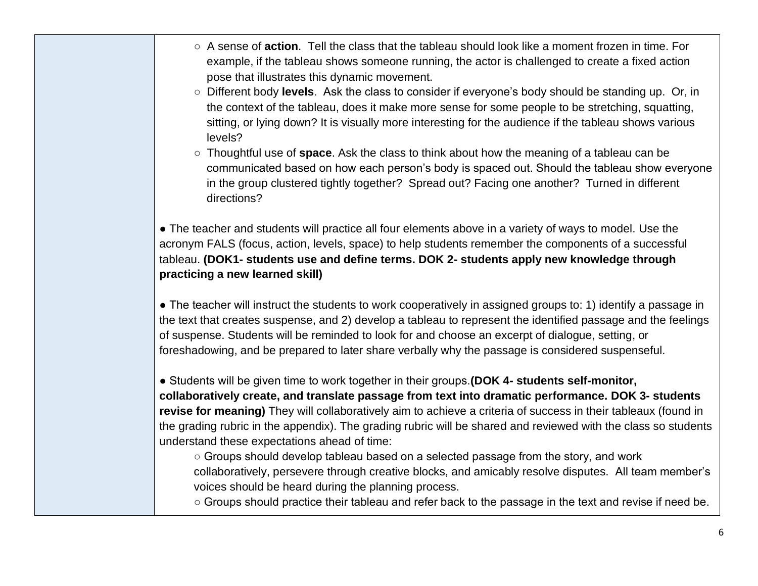- A sense of **action**. Tell the class that the tableau should look like a moment frozen in time. For example, if the tableau shows someone running, the actor is challenged to create a fixed action pose that illustrates this dynamic movement.
- Different body **levels**. Ask the class to consider if everyone's body should be standing up. Or, in the context of the tableau, does it make more sense for some people to be stretching, squatting, sitting, or lying down? It is visually more interesting for the audience if the tableau shows various levels?
- Thoughtful use of **space**. Ask the class to think about how the meaning of a tableau can be communicated based on how each person's body is spaced out. Should the tableau show everyone in the group clustered tightly together? Spread out? Facing one another? Turned in different directions?

• The teacher and students will practice all four elements above in a variety of ways to model. Use the acronym FALS (focus, action, levels, space) to help students remember the components of a successful tableau. **(DOK1- students use and define terms. DOK 2- students apply new knowledge through practicing a new learned skill)**

● The teacher will instruct the students to work cooperatively in assigned groups to: 1) identify a passage in the text that creates suspense, and 2) develop a tableau to represent the identified passage and the feelings of suspense. Students will be reminded to look for and choose an excerpt of dialogue, setting, or foreshadowing, and be prepared to later share verbally why the passage is considered suspenseful.

● Students will be given time to work together in their groups.**(DOK 4- students self-monitor, collaboratively create, and translate passage from text into dramatic performance. DOK 3- students revise for meaning)** They will collaboratively aim to achieve a criteria of success in their tableaux (found in the grading rubric in the appendix). The grading rubric will be shared and reviewed with the class so students understand these expectations ahead of time:

○ Groups should develop tableau based on a selected passage from the story, and work collaboratively, persevere through creative blocks, and amicably resolve disputes. All team member's voices should be heard during the planning process.

○ Groups should practice their tableau and refer back to the passage in the text and revise if need be.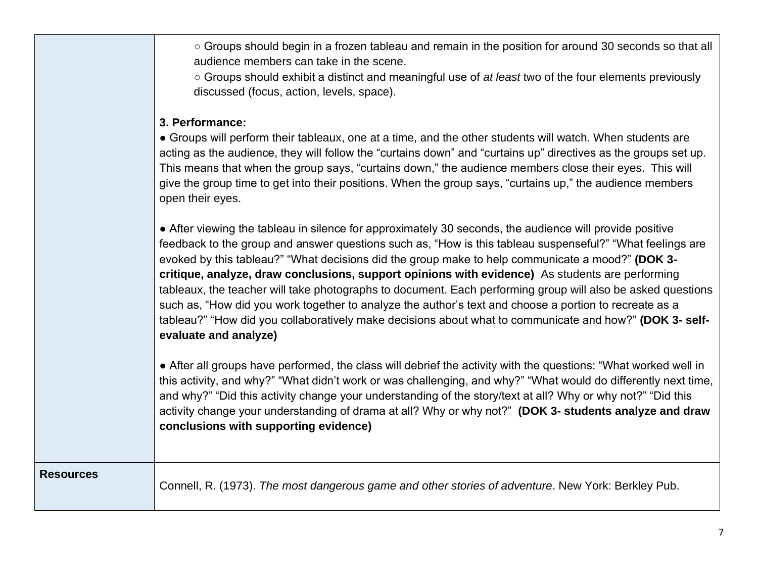| ○ Groups should begin in a frozen tableau and remain in the position for around 30 seconds so that all |
|--------------------------------------------------------------------------------------------------------|
| audience members can take in the scene.                                                                |

○ Groups should exhibit a distinct and meaningful use of *at least* two of the four elements previously discussed (focus, action, levels, space).

## **3. Performance:**

**Resources**

• Groups will perform their tableaux, one at a time, and the other students will watch. When students are acting as the audience, they will follow the "curtains down" and "curtains up" directives as the groups set up. This means that when the group says, "curtains down," the audience members close their eyes. This will give the group time to get into their positions. When the group says, "curtains up," the audience members open their eyes.

• After viewing the tableau in silence for approximately 30 seconds, the audience will provide positive feedback to the group and answer questions such as, "How is this tableau suspenseful?" "What feelings are evoked by this tableau?" "What decisions did the group make to help communicate a mood?" **(DOK 3 critique, analyze, draw conclusions, support opinions with evidence)** As students are performing tableaux, the teacher will take photographs to document. Each performing group will also be asked questions such as, "How did you work together to analyze the author's text and choose a portion to recreate as a tableau?" "How did you collaboratively make decisions about what to communicate and how?" **(DOK 3- selfevaluate and analyze)**

• After all groups have performed, the class will debrief the activity with the questions: "What worked well in this activity, and why?" "What didn't work or was challenging, and why?" "What would do differently next time, and why?" "Did this activity change your understanding of the story/text at all? Why or why not?" "Did this activity change your understanding of drama at all? Why or why not?" **(DOK 3- students analyze and draw conclusions with supporting evidence)**

Connell, R. (1973). *The most dangerous game and other stories of adventure*. New York: Berkley Pub.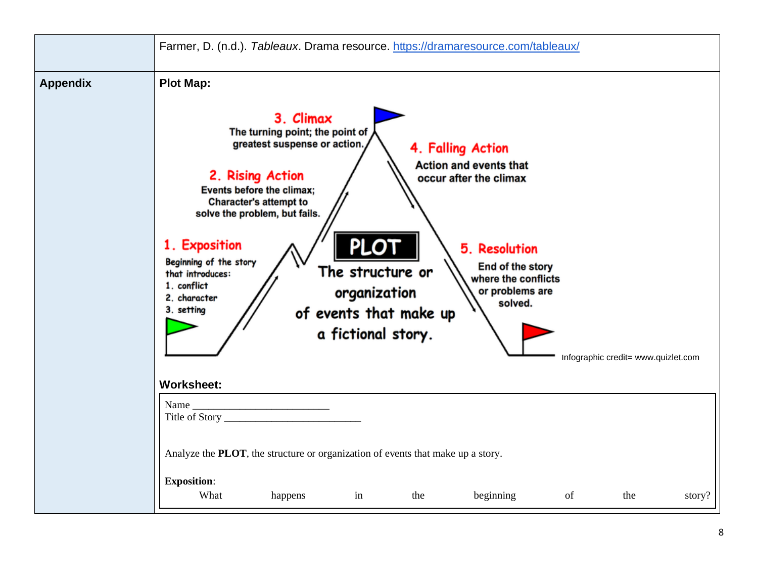|                 | Farmer, D. (n.d.). Tableaux. Drama resource. https://dramaresource.com/tableaux/                                                                                                                                                                                                                                                                                                                                                                                                                                                                                                                                                                    |  |  |  |  |  |
|-----------------|-----------------------------------------------------------------------------------------------------------------------------------------------------------------------------------------------------------------------------------------------------------------------------------------------------------------------------------------------------------------------------------------------------------------------------------------------------------------------------------------------------------------------------------------------------------------------------------------------------------------------------------------------------|--|--|--|--|--|
| <b>Appendix</b> | <b>Plot Map:</b><br>3. Climax<br>The turning point; the point of<br>greatest suspense or action.<br>4. Falling Action<br><b>Action and events that</b><br>2. Rising Action<br>occur after the climax<br>Events before the climax;<br><b>Character's attempt to</b><br>solve the problem, but fails.<br><b>PLOT</b><br>1. Exposition<br>5. Resolution<br>Beginning of the story<br>End of the story<br>The structure or<br>that introduces:<br>where the conflicts<br>1. conflict<br>organization<br>or problems are<br>2. character<br>solved.<br>3. setting<br>of events that make up<br>a fictional story.<br>Infographic credit= www.quizlet.com |  |  |  |  |  |
|                 | <b>Worksheet:</b><br>Name<br>Analyze the PLOT, the structure or organization of events that make up a story.                                                                                                                                                                                                                                                                                                                                                                                                                                                                                                                                        |  |  |  |  |  |
|                 | <b>Exposition:</b><br>What<br>beginning<br>of<br>happens<br>in<br>the<br>the<br>story?                                                                                                                                                                                                                                                                                                                                                                                                                                                                                                                                                              |  |  |  |  |  |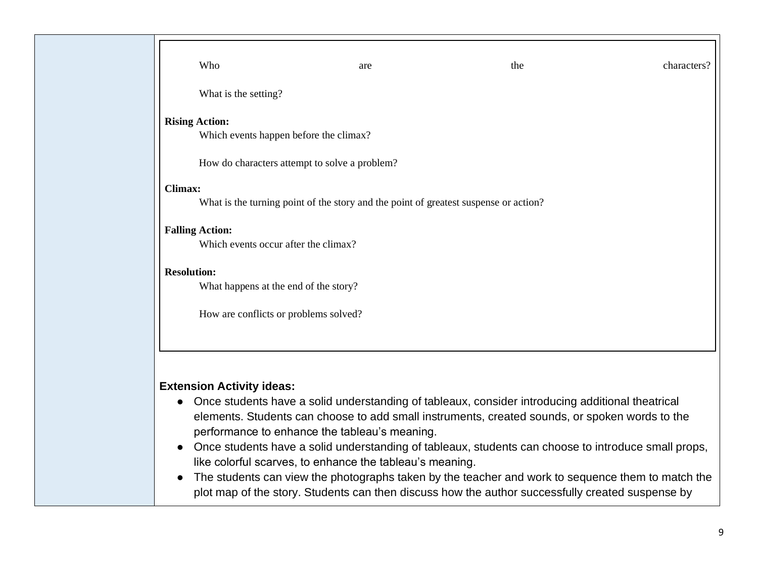| Who                                    | are                                                                                  | the                                                                                                 | characters? |
|----------------------------------------|--------------------------------------------------------------------------------------|-----------------------------------------------------------------------------------------------------|-------------|
| What is the setting?                   |                                                                                      |                                                                                                     |             |
| <b>Rising Action:</b>                  |                                                                                      |                                                                                                     |             |
| Which events happen before the climax? |                                                                                      |                                                                                                     |             |
|                                        | How do characters attempt to solve a problem?                                        |                                                                                                     |             |
| <b>Climax:</b>                         |                                                                                      |                                                                                                     |             |
|                                        | What is the turning point of the story and the point of greatest suspense or action? |                                                                                                     |             |
| <b>Falling Action:</b>                 |                                                                                      |                                                                                                     |             |
| Which events occur after the climax?   |                                                                                      |                                                                                                     |             |
| <b>Resolution:</b>                     |                                                                                      |                                                                                                     |             |
| What happens at the end of the story?  |                                                                                      |                                                                                                     |             |
| How are conflicts or problems solved?  |                                                                                      |                                                                                                     |             |
|                                        |                                                                                      |                                                                                                     |             |
|                                        |                                                                                      |                                                                                                     |             |
| <b>Extension Activity ideas:</b>       |                                                                                      |                                                                                                     |             |
|                                        |                                                                                      | Once students have a solid understanding of tableaux, consider introducing additional theatrical    |             |
|                                        | performance to enhance the tableau's meaning.                                        | elements. Students can choose to add small instruments, created sounds, or spoken words to the      |             |
|                                        | like colorful scarves, to enhance the tableau's meaning.                             | Once students have a solid understanding of tableaux, students can choose to introduce small props, |             |
|                                        |                                                                                      | The students can view the photographs taken by the teacher and work to sequence them to match the   |             |

plot map of the story. Students can then discuss how the author successfully created suspense by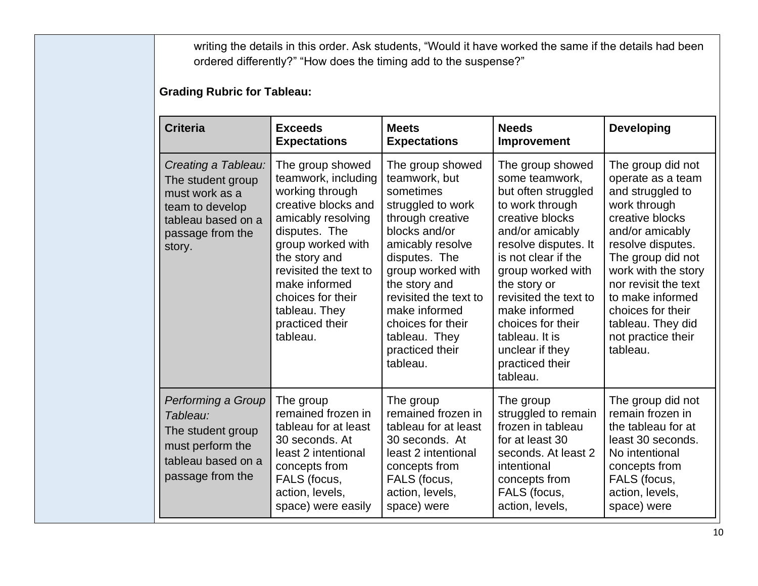writing the details in this order. Ask students, "Would it have worked the same if the details had been ordered differently?" "How does the timing add to the suspense?"

## **Grading Rubric for Tableau:**

| <b>Criteria</b>                                                                                                                   | <b>Exceeds</b><br><b>Expectations</b>                                                                                                                                                                                                                                         | <b>Meets</b><br><b>Expectations</b>                                                                                                                                                                                                                                                                | <b>Needs</b><br><b>Improvement</b>                                                                                                                                                                                                                                                                                                        | <b>Developing</b>                                                                                                                                                                                                                                                                                         |
|-----------------------------------------------------------------------------------------------------------------------------------|-------------------------------------------------------------------------------------------------------------------------------------------------------------------------------------------------------------------------------------------------------------------------------|----------------------------------------------------------------------------------------------------------------------------------------------------------------------------------------------------------------------------------------------------------------------------------------------------|-------------------------------------------------------------------------------------------------------------------------------------------------------------------------------------------------------------------------------------------------------------------------------------------------------------------------------------------|-----------------------------------------------------------------------------------------------------------------------------------------------------------------------------------------------------------------------------------------------------------------------------------------------------------|
| Creating a Tableau:<br>The student group<br>must work as a<br>team to develop<br>tableau based on a<br>passage from the<br>story. | The group showed<br>teamwork, including<br>working through<br>creative blocks and<br>amicably resolving<br>disputes. The<br>group worked with<br>the story and<br>revisited the text to<br>make informed<br>choices for their<br>tableau. They<br>practiced their<br>tableau. | The group showed<br>teamwork, but<br>sometimes<br>struggled to work<br>through creative<br>blocks and/or<br>amicably resolve<br>disputes. The<br>group worked with<br>the story and<br>revisited the text to<br>make informed<br>choices for their<br>tableau. They<br>practiced their<br>tableau. | The group showed<br>some teamwork,<br>but often struggled<br>to work through<br>creative blocks<br>and/or amicably<br>resolve disputes. It<br>is not clear if the<br>group worked with<br>the story or<br>revisited the text to<br>make informed<br>choices for their<br>tableau. It is<br>unclear if they<br>practiced their<br>tableau. | The group did not<br>operate as a team<br>and struggled to<br>work through<br>creative blocks<br>and/or amicably<br>resolve disputes.<br>The group did not<br>work with the story<br>nor revisit the text<br>to make informed<br>choices for their<br>tableau. They did<br>not practice their<br>tableau. |
| Performing a Group<br>Tableau:<br>The student group<br>must perform the<br>tableau based on a<br>passage from the                 | The group<br>remained frozen in<br>tableau for at least<br>30 seconds, At<br>least 2 intentional<br>concepts from<br>FALS (focus,<br>action, levels,<br>space) were easily                                                                                                    | The group<br>remained frozen in<br>tableau for at least<br>30 seconds. At<br>least 2 intentional<br>concepts from<br>FALS (focus,<br>action, levels,<br>space) were                                                                                                                                | The group<br>struggled to remain<br>frozen in tableau<br>for at least 30<br>seconds. At least 2<br>intentional<br>concepts from<br>FALS (focus,<br>action, levels,                                                                                                                                                                        | The group did not<br>remain frozen in<br>the tableau for at<br>least 30 seconds.<br>No intentional<br>concepts from<br>FALS (focus,<br>action, levels,<br>space) were                                                                                                                                     |